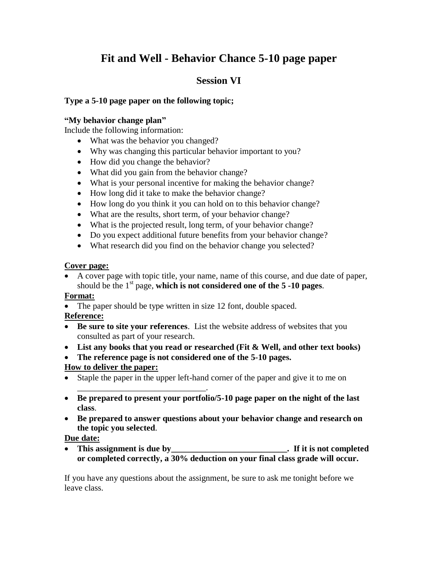# **Fit and Well - Behavior Chance 5-10 page paper**

## **Session VI**

## **Type a 5-10 page paper on the following topic;**

### **"My behavior change plan"**

Include the following information:

- What was the behavior you changed?
- Why was changing this particular behavior important to you?
- How did you change the behavior?
- What did you gain from the behavior change?
- What is your personal incentive for making the behavior change?
- How long did it take to make the behavior change?
- How long do you think it you can hold on to this behavior change?
- What are the results, short term, of your behavior change?
- What is the projected result, long term, of your behavior change?
- Do you expect additional future benefits from your behavior change?
- What research did you find on the behavior change you selected?

#### **Cover page:**

 A cover page with topic title, your name, name of this course, and due date of paper, should be the  $1<sup>st</sup>$  page, which is not considered one of the  $5 - 10$  pages.

### **Format:**

• The paper should be type written in size 12 font, double spaced.

## **Reference:**

- **Be sure to site your references**. List the website address of websites that you consulted as part of your research.
- **List any books that you read or researched (Fit & Well, and other text books)**
- **The reference page is not considered one of the 5-10 pages.**

## **How to deliver the paper:**

\_\_\_\_\_\_\_\_\_\_\_\_\_\_\_\_\_\_\_\_\_\_\_\_\_\_\_\_\_\_.

- Staple the paper in the upper left-hand corner of the paper and give it to me on
- **Be prepared to present your portfolio/5-10 page paper on the night of the last class**.
- **Be prepared to answer questions about your behavior change and research on the topic you selected**.

### **Due date:**

 **This assignment is due by\_\_\_\_\_\_\_\_\_\_\_\_\_\_\_\_\_\_\_\_\_\_\_\_\_\_\_. If it is not completed or completed correctly, a 30% deduction on your final class grade will occur.** 

If you have any questions about the assignment, be sure to ask me tonight before we leave class.